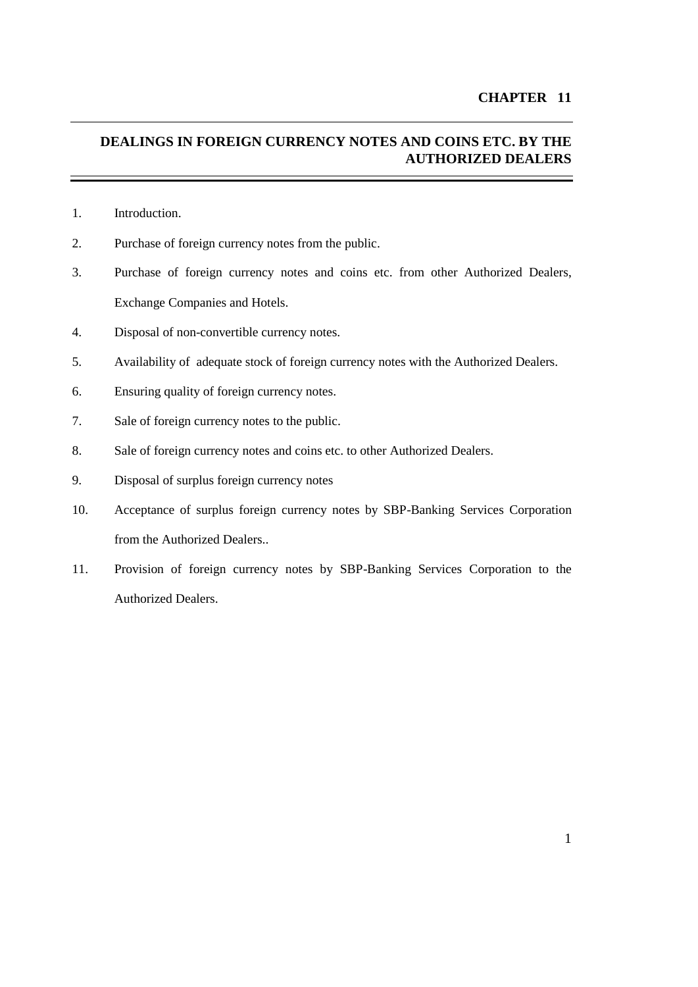# **DEALINGS IN FOREIGN CURRENCY NOTES AND COINS ETC. BY THE AUTHORIZED DEALERS**

- 1. Introduction.
- 2. Purchase of foreign currency notes from the public.
- 3. Purchase of foreign currency notes and coins etc. from other Authorized Dealers, Exchange Companies and Hotels.
- 4. Disposal of non-convertible currency notes.
- 5. Availability of adequate stock of foreign currency notes with the Authorized Dealers.
- 6. Ensuring quality of foreign currency notes.
- 7. [Sale of foreign currency notes](#page-2-0) to the public.
- 8. Sale of foreign currency notes and coins etc. to other Authorized Dealers.
- 9. Disposal of surplus foreign currency notes
- 10. Acceptance of surplus foreign currency notes by SBP-Banking Services Corporation from the Authorized Dealers..
- 11. Provision of foreign currency notes by SBP-Banking Services Corporation to the Authorized Dealers.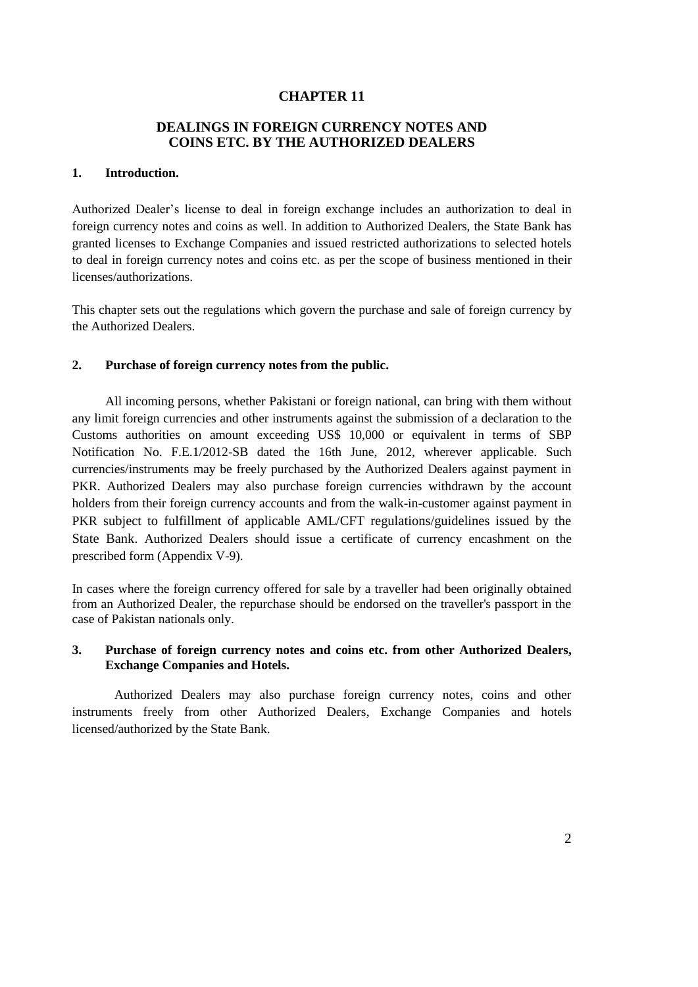## **CHAPTER 11**

### **DEALINGS IN FOREIGN CURRENCY NOTES AND COINS ETC. BY THE AUTHORIZED DEALERS**

# **1. Introduction.**

Authorized Dealer's license to deal in foreign exchange includes an authorization to deal in foreign currency notes and coins as well. In addition to Authorized Dealers, the State Bank has granted licenses to Exchange Companies and issued restricted authorizations to selected hotels to deal in foreign currency notes and coins etc. as per the scope of business mentioned in their licenses/authorizations.

This chapter sets out the regulations which govern the purchase and sale of foreign currency by the Authorized Dealers.

#### **2. Purchase of foreign currency notes from the public.**

All incoming persons, whether Pakistani or foreign national, can bring with them without any limit foreign currencies and other instruments against the submission of a declaration to the Customs authorities on amount exceeding US\$ 10,000 or equivalent in terms of SBP Notification No. F.E.1/2012-SB dated the 16th June, 2012, wherever applicable. Such currencies/instruments may be freely purchased by the Authorized Dealers against payment in PKR. Authorized Dealers may also purchase foreign currencies withdrawn by the account holders from their foreign currency accounts and from the walk-in-customer against payment in PKR subject to fulfillment of applicable AML/CFT regulations/guidelines issued by the State Bank. Authorized Dealers should issue a certificate of currency encashment on the prescribed form (Appendix V-9).

In cases where the foreign currency offered for sale by a traveller had been originally obtained from an Authorized Dealer, the repurchase should be endorsed on the traveller's passport in the case of Pakistan nationals only.

### **3. Purchase of foreign currency notes and coins etc. from other Authorized Dealers, Exchange Companies and Hotels.**

Authorized Dealers may also purchase foreign currency notes, coins and other instruments freely from other Authorized Dealers, Exchange Companies and hotels licensed/authorized by the State Bank.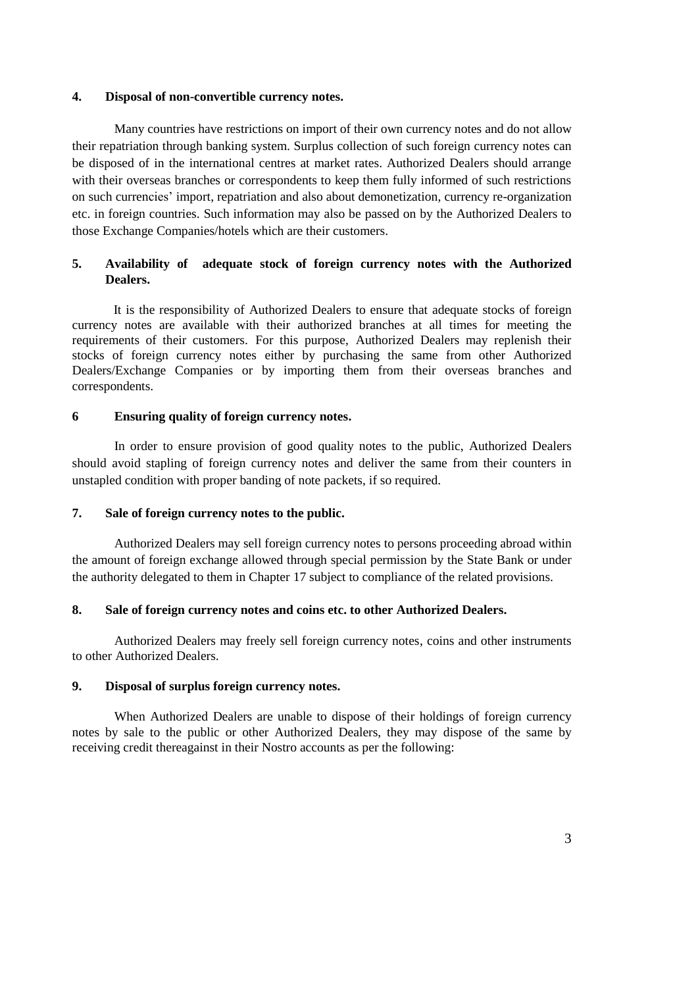### **4. Disposal of non-convertible currency notes.**

Many countries have restrictions on import of their own currency notes and do not allow their repatriation through banking system. Surplus collection of such foreign currency notes can be disposed of in the international centres at market rates. Authorized Dealers should arrange with their overseas branches or correspondents to keep them fully informed of such restrictions on such currencies' import, repatriation and also about demonetization, currency re-organization etc. in foreign countries. Such information may also be passed on by the Authorized Dealers to those Exchange Companies/hotels which are their customers.

## **5. Availability of adequate stock of foreign currency notes with the Authorized Dealers.**

It is the responsibility of Authorized Dealers to ensure that adequate stocks of foreign currency notes are available with their authorized branches at all times for meeting the requirements of their customers. For this purpose, Authorized Dealers may replenish their stocks of foreign currency notes either by purchasing the same from other Authorized Dealers/Exchange Companies or by importing them from their overseas branches and correspondents.

### <span id="page-2-0"></span>**6 Ensuring quality of foreign currency notes.**

In order to ensure provision of good quality notes to the public, Authorized Dealers should avoid stapling of foreign currency notes and deliver the same from their counters in unstapled condition with proper banding of note packets, if so required.

### **7. Sale of foreign currency notes to the public.**

Authorized Dealers may sell foreign currency notes to persons proceeding abroad within the amount of foreign exchange allowed through special permission by the State Bank or under the authority delegated to them in Chapter 17 subject to compliance of the related provisions.

### **8. Sale of foreign currency notes and coins etc. to other Authorized Dealers.**

Authorized Dealers may freely sell foreign currency notes, coins and other instruments to other Authorized Dealers.

### **9. Disposal of surplus foreign currency notes.**

When Authorized Dealers are unable to dispose of their holdings of foreign currency notes by sale to the public or other Authorized Dealers, they may dispose of the same by receiving credit thereagainst in their Nostro accounts as per the following: